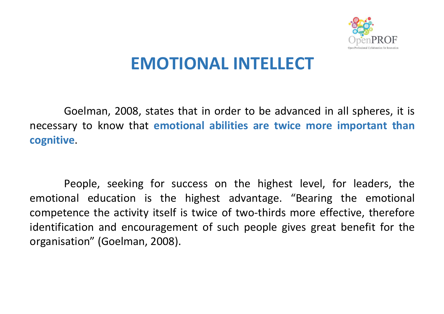

## **EMOTIONAL INTELLECT**

Goelman, 2008, states that in order to be advanced in all spheres, it is necessary to know that **emotional abilities are twice more important than cognitive**.

People, seeking for success on the highest level, for leaders, the emotional education is the highest advantage. "Bearing the emotional competence the activity itself is twice of two-thirds more effective, therefore identification and encouragement of such people gives great benefit for the organisation" (Goelman, 2008).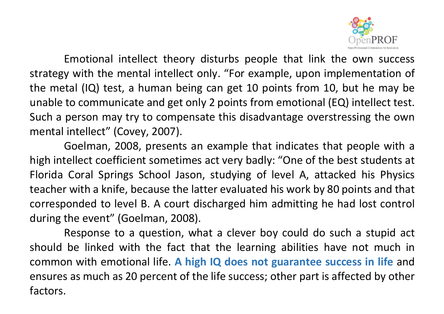

Emotional intellect theory disturbs people that link the own success strategy with the mental intellect only. "For example, upon implementation of the metal (IQ) test, a human being can get 10 points from 10, but he may be unable to communicate and get only 2 points from emotional (EQ) intellect test. Such a person may try to compensate this disadvantage overstressing the own mental intellect" (Covey, 2007).

Goelman, 2008, presents an example that indicates that people with a high intellect coefficient sometimes act very badly: "One of the best students at Florida Coral Springs School Jason, studying of level A, attacked his Physics teacher with a knife, because the latter evaluated his work by 80 points and that corresponded to level B. A court discharged him admitting he had lost control during the event" (Goelman, 2008).

Response to a question, what a clever boy could do such a stupid act should be linked with the fact that the learning abilities have not much in common with emotional life. **A high IQ does not guarantee success in life** and ensures as much as 20 percent of the life success; other part is affected by other factors.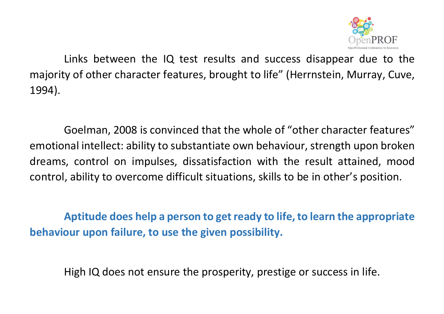

Links between the IQ test results and success disappear due to the majority of other character features, brought to life" (Herrnstein, Murray, Cuve, 1994).

Goelman, 2008 is convinced that the whole of "other character features" emotional intellect: ability to substantiate own behaviour, strength upon broken dreams, control on impulses, dissatisfaction with the result attained, mood control, ability to overcome difficult situations, skills to be in other's position.

**Aptitude does help a person to get ready to life, to learn the appropriate behaviour upon failure, to use the given possibility.** 

High IQ does not ensure the prosperity, prestige or success in life.